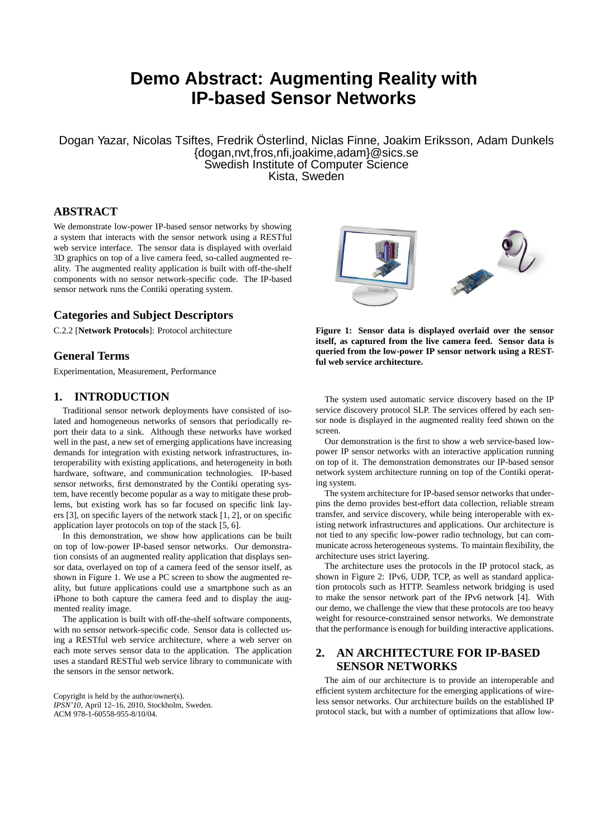# **Demo Abstract: Augmenting Reality with IP-based Sensor Networks**

Dogan Yazar, Nicolas Tsiftes, Fredrik Österlind, Niclas Finne, Joakim Eriksson, Adam Dunkels {dogan,nvt,fros,nfi,joakime,adam}@sics.se Swedish Institute of Computer Science Kista, Sweden

## **ABSTRACT**

We demonstrate low-power IP-based sensor networks by showing a system that interacts with the sensor network using a RESTful web service interface. The sensor data is displayed with overlaid 3D graphics on top of a live camera feed, so-called augmented reality. The augmented reality application is built with off-the-shelf components with no sensor network-specific code. The IP-based sensor network runs the Contiki operating system.

#### **Categories and Subject Descriptors**

C.2.2 [**Network Protocols**]: Protocol architecture

## **General Terms**

Experimentation, Measurement, Performance

## **1. INTRODUCTION**

Traditional sensor network deployments have consisted of isolated and homogeneous networks of sensors that periodically report their data to a sink. Although these networks have worked well in the past, a new set of emerging applications have increasing demands for integration with existing network infrastructures, interoperability with existing applications, and heterogeneity in both hardware, software, and communication technologies. IP-based sensor networks, first demonstrated by the Contiki operating system, have recently become popular as a way to mitigate these problems, but existing work has so far focused on specific link layers [3], on specific layers of the network stack [1, 2], or on specific application layer protocols on top of the stack [5, 6].

In this demonstration, we show how applications can be built on top of low-power IP-based sensor networks. Our demonstration consists of an augmented reality application that displays sensor data, overlayed on top of a camera feed of the sensor itself, as shown in Figure 1. We use a PC screen to show the augmented reality, but future applications could use a smartphone such as an iPhone to both capture the camera feed and to display the augmented reality image.

The application is built with off-the-shelf software components, with no sensor network-specific code. Sensor data is collected using a RESTful web service architecture, where a web server on each mote serves sensor data to the application. The application uses a standard RESTful web service library to communicate with the sensors in the sensor network.

Copyright is held by the author/owner(s). *IPSN'10,* April 12–16, 2010, Stockholm, Sweden. ACM 978-1-60558-955-8/10/04.



**Figure 1: Sensor data is displayed overlaid over the sensor itself, as captured from the live camera feed. Sensor data is queried from the low-power IP sensor network using a RESTful web service architecture.**

The system used automatic service discovery based on the IP service discovery protocol SLP. The services offered by each sensor node is displayed in the augmented reality feed shown on the screen.

Our demonstration is the first to show a web service-based lowpower IP sensor networks with an interactive application running on top of it. The demonstration demonstrates our IP-based sensor network system architecture running on top of the Contiki operating system.

The system architecture for IP-based sensor networks that underpins the demo provides best-effort data collection, reliable stream transfer, and service discovery, while being interoperable with existing network infrastructures and applications. Our architecture is not tied to any specific low-power radio technology, but can communicate across heterogeneous systems. To maintain flexibility, the architecture uses strict layering.

The architecture uses the protocols in the IP protocol stack, as shown in Figure 2: IPv6, UDP, TCP, as well as standard application protocols such as HTTP. Seamless network bridging is used to make the sensor network part of the IPv6 network [4]. With our demo, we challenge the view that these protocols are too heavy weight for resource-constrained sensor networks. We demonstrate that the performance is enough for building interactive applications.

# **2. AN ARCHITECTURE FOR IP-BASED SENSOR NETWORKS**

The aim of our architecture is to provide an interoperable and efficient system architecture for the emerging applications of wireless sensor networks. Our architecture builds on the established IP protocol stack, but with a number of optimizations that allow low-